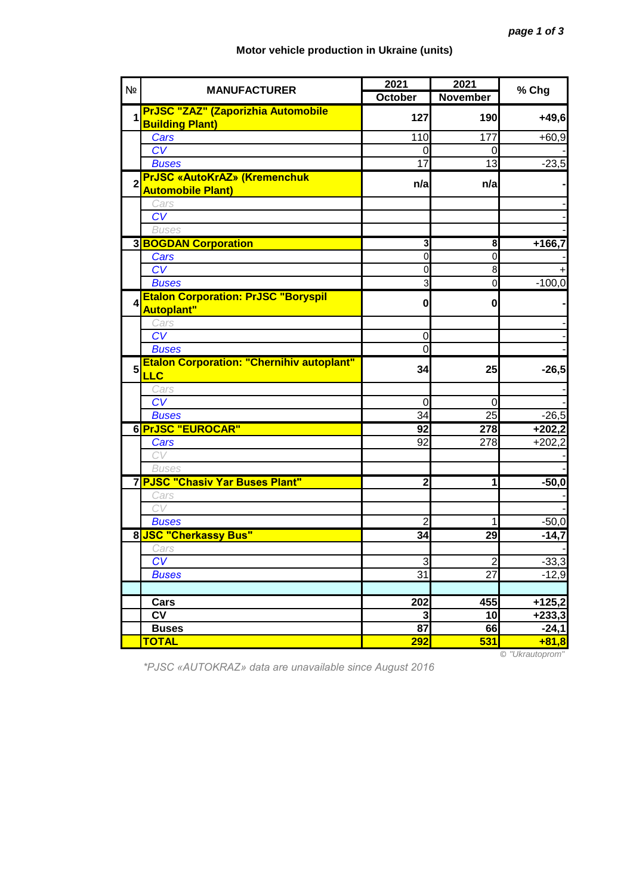## **Motor vehicle production in Ukraine (units)**

| N <sub>2</sub> | <b>MANUFACTURER</b>                                                 | 2021                     | 2021            | % Chg               |
|----------------|---------------------------------------------------------------------|--------------------------|-----------------|---------------------|
|                |                                                                     | <b>October</b>           | <b>November</b> |                     |
| 1              | <b>PrJSC "ZAZ" (Zaporizhia Automobile</b><br><b>Building Plant)</b> | 127                      | 190             | $+49,6$             |
|                | Cars                                                                | 110                      | 177             | $+60,9$             |
|                | CV                                                                  | 0                        | 0               |                     |
|                | <b>Buses</b>                                                        | 17                       | 13              | $-23,5$             |
| $\overline{2}$ | <b>PrJSC «AutoKrAZ» (Kremenchuk</b><br><b>Automobile Plant)</b>     | n/a                      | n/a             |                     |
|                | Cars                                                                |                          |                 |                     |
|                | CV                                                                  |                          |                 |                     |
|                | <b>Buses</b>                                                        |                          |                 |                     |
|                | <b>3 BOGDAN Corporation</b>                                         | 3                        | 8               | $+166,7$            |
|                | Cars                                                                | $\overline{0}$           | $\mathbf 0$     |                     |
|                | CV                                                                  | $\mathbf 0$              | 8               |                     |
|                | <b>Buses</b>                                                        | 3                        | $\mathbf 0$     | $-100,0$            |
| 4              | <b>Etalon Corporation: PrJSC "Boryspil</b><br><b>Autoplant"</b>     | $\mathbf{0}$             | $\mathbf{0}$    |                     |
|                | Cars                                                                |                          |                 |                     |
|                | CV                                                                  | $\mathbf 0$              |                 |                     |
|                | <b>Buses</b>                                                        | 0                        |                 |                     |
| 5              | <b>Etalon Corporation: "Chernihiv autoplant"</b><br><b>LLC</b>      | 34                       | 25              | $-26,5$             |
|                | Cars                                                                |                          |                 |                     |
|                | CV                                                                  | 0                        | 0               |                     |
|                | <b>Buses</b>                                                        | 34                       | 25              | $-26,5$             |
|                | 6 PrJSC "EUROCAR"                                                   | 92                       | 278             | $+202,2$            |
|                | Cars                                                                | 92                       | 278             | $\overline{+202,2}$ |
|                | CV                                                                  |                          |                 |                     |
|                | <b>Buses</b>                                                        |                          |                 |                     |
|                | 7 PJSC "Chasiv Yar Buses Plant"                                     | $\overline{2}$           | 1               | $-50,0$             |
|                | Cars                                                                |                          |                 |                     |
|                | CV                                                                  |                          |                 |                     |
|                | <b>Buses</b>                                                        | 2                        | 1               | $-50,0$             |
|                | 8 JSC "Cherkassy Bus"                                               | $\overline{\mathbf{34}}$ | 29              | $-14,7$             |
|                | Cars                                                                |                          |                 |                     |
|                | CV                                                                  | 3                        | $\overline{2}$  | $-33,3$             |
|                | <b>Buses</b>                                                        | 31                       | 27              | $-12,9$             |
|                |                                                                     |                          |                 |                     |
|                | Cars                                                                | 202                      | 455             | $+125,2$            |
|                | $\overline{\mathsf{cv}}$                                            | 3                        | 10              | $+233,3$            |
|                | <b>Buses</b>                                                        | $\overline{87}$          | 66              | $-24,1$             |
|                | <b>TOTAL</b>                                                        | 292                      | 531             | $+81,8$<br>H1Hcm    |

*\*PJSC «AUTOKRAZ» data are unavailable since August 2016*

© *"Ukrautoprom"*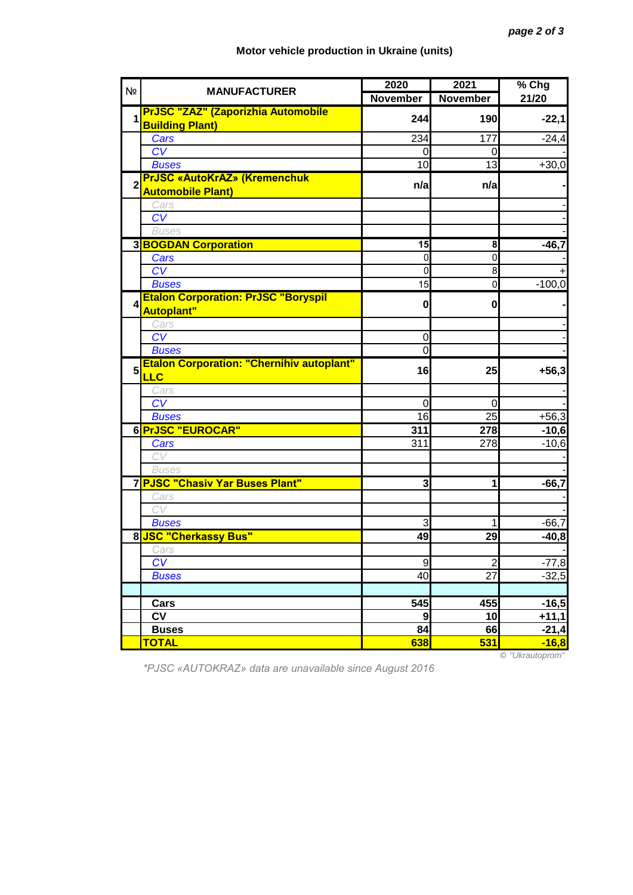## **Motor vehicle production in Ukraine (units)**

| N <sub>2</sub> | <b>MANUFACTURER</b>                                                 | 2020            | 2021            | % Chg              |
|----------------|---------------------------------------------------------------------|-----------------|-----------------|--------------------|
|                |                                                                     | <b>November</b> | <b>November</b> | 21/20              |
| 1              | <b>PrJSC "ZAZ" (Zaporizhia Automobile</b><br><b>Building Plant)</b> | 244             | 190             | $-22,1$            |
|                | Cars                                                                | 234             | 177             | $-24,4$            |
|                | CV                                                                  | 0               | $\Omega$        |                    |
|                | <b>Buses</b>                                                        | 10              | 13              | $+30,0$            |
| $\overline{2}$ | <b>PrJSC «AutoKrAZ» (Kremenchuk</b><br><b>Automobile Plant)</b>     | n/a             | n/a             |                    |
|                | Cars                                                                |                 |                 |                    |
|                | CV                                                                  |                 |                 |                    |
|                | <b>Buses</b>                                                        |                 |                 |                    |
|                | <b>3 BOGDAN Corporation</b>                                         | $\overline{15}$ | 8               | $-46,7$            |
|                | Cars                                                                | 0               | $\mathbf 0$     |                    |
|                | $\overline{\text{CV}}$                                              | 0               | 8               |                    |
|                | <b>Buses</b>                                                        | 15              | $\mathbf 0$     | $-100,0$           |
| 4              | <b>Etalon Corporation: PrJSC "Boryspil</b><br><b>Autoplant"</b>     | $\bf{0}$        | 0               |                    |
|                | Cars                                                                |                 |                 |                    |
|                | CV                                                                  | 0               |                 |                    |
|                | <b>Buses</b>                                                        | 0               |                 |                    |
| 5              | <b>Etalon Corporation: "Chernihiv autoplant"</b><br><b>LLC</b>      | 16              | 25              | $+56,3$            |
|                | Cars                                                                |                 |                 |                    |
|                | $\overline{\text{CV}}$                                              | 0               | $\mathbf 0$     |                    |
|                | <b>Buses</b>                                                        | 16              | 25              | $+56,3$            |
|                | 6 PrJSC "EUROCAR"                                                   | 311             | 278             | $-10,6$            |
|                | Cars                                                                | 311             | 278             | $-10,6$            |
|                | CV                                                                  |                 |                 |                    |
|                | <b>Buses</b>                                                        |                 |                 |                    |
|                | 7 PJSC "Chasiv Yar Buses Plant"                                     | 3               | 1               | $-66,7$            |
|                | Cars                                                                |                 |                 |                    |
|                | CV                                                                  |                 |                 |                    |
|                | <b>Buses</b>                                                        | 3               | 1               | $-66,7$            |
|                | 8 JSC "Cherkassy Bus"                                               | 49              | 29              | $-40,8$            |
|                | Cars<br>CV                                                          | $\overline{9}$  | $\overline{2}$  |                    |
|                | <b>Buses</b>                                                        | 40              | 27              | $-77,8$<br>$-32,5$ |
|                |                                                                     |                 |                 |                    |
|                | Cars                                                                | 545             | 455             | $-16,5$            |
|                | <b>CV</b>                                                           | 9               | 10              | $+11,1$            |
|                | <b>Buses</b>                                                        | 84              | 66              | $-21,4$            |
|                | <b>TOTAL</b>                                                        | 638             | 531             | $-16,8$            |
|                |                                                                     |                 |                 |                    |

*\*PJSC «AUTOKRAZ» data are unavailable since August 2016*

© *"Ukrautoprom"*